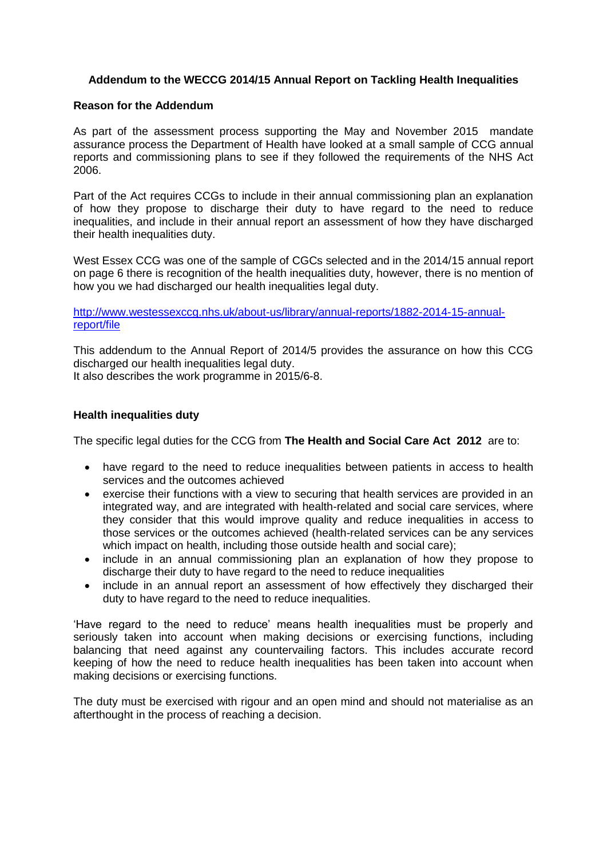## **Addendum to the WECCG 2014/15 Annual Report on Tackling Health Inequalities**

## **Reason for the Addendum**

As part of the assessment process supporting the May and November 2015 mandate assurance process the Department of Health have looked at a small sample of CCG annual reports and commissioning plans to see if they followed the requirements of the NHS Act 2006.

Part of the Act requires CCGs to include in their annual commissioning plan an explanation of how they propose to discharge their duty to have regard to the need to reduce inequalities, and include in their annual report an assessment of how they have discharged their health inequalities duty.

West Essex CCG was one of the sample of CGCs selected and in the 2014/15 annual report on page 6 there is recognition of the health inequalities duty, however, there is no mention of how you we had discharged our health inequalities legal duty.

## [http://www.westessexccg.nhs.uk/about-us/library/annual-reports/1882-2014-15-annual](http://www.westessexccg.nhs.uk/about-us/library/annual-reports/1882-2014-15-annual-report/file)[report/file](http://www.westessexccg.nhs.uk/about-us/library/annual-reports/1882-2014-15-annual-report/file)

This addendum to the Annual Report of 2014/5 provides the assurance on how this CCG discharged our health inequalities legal duty.

It also describes the work programme in 2015/6-8.

## **Health inequalities duty**

The specific legal duties for the CCG from **The Health and Social Care Act 2012** are to:

- have regard to the need to reduce inequalities between patients in access to health services and the outcomes achieved
- exercise their functions with a view to securing that health services are provided in an integrated way, and are integrated with health-related and social care services, where they consider that this would improve quality and reduce inequalities in access to those services or the outcomes achieved (health-related services can be any services which impact on health, including those outside health and social care);
- include in an annual commissioning plan an explanation of how they propose to discharge their duty to have regard to the need to reduce inequalities
- include in an annual report an assessment of how effectively they discharged their duty to have regard to the need to reduce inequalities.

'Have regard to the need to reduce' means health inequalities must be properly and seriously taken into account when making decisions or exercising functions, including balancing that need against any countervailing factors. This includes accurate record keeping of how the need to reduce health inequalities has been taken into account when making decisions or exercising functions.

The duty must be exercised with rigour and an open mind and should not materialise as an afterthought in the process of reaching a decision.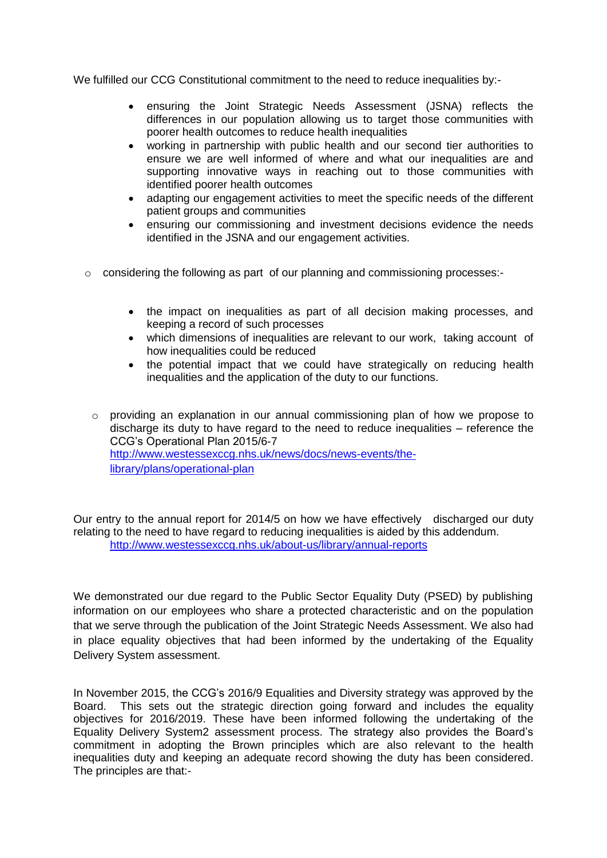We fulfilled our CCG Constitutional commitment to the need to reduce inequalities by:-

- ensuring the Joint Strategic Needs Assessment (JSNA) reflects the differences in our population allowing us to target those communities with poorer health outcomes to reduce health inequalities
- working in partnership with public health and our second tier authorities to ensure we are well informed of where and what our inequalities are and supporting innovative ways in reaching out to those communities with identified poorer health outcomes
- adapting our engagement activities to meet the specific needs of the different patient groups and communities
- ensuring our commissioning and investment decisions evidence the needs identified in the JSNA and our engagement activities.
- o considering the following as part of our planning and commissioning processes:
	- the impact on inequalities as part of all decision making processes, and keeping a record of such processes
	- which dimensions of inequalities are relevant to our work, taking account of how inequalities could be reduced
	- the potential impact that we could have strategically on reducing health inequalities and the application of the duty to our functions.
	- o providing an explanation in our annual commissioning plan of how we propose to discharge its duty to have regard to the need to reduce inequalities – reference the CCG's Operational Plan 2015/6-7 [http://www.westessexccg.nhs.uk/news/docs/news-events/the](http://www.westessexccg.nhs.uk/news/docs/news-events/the-library/plans/operational-plan)[library/plans/operational-plan](http://www.westessexccg.nhs.uk/news/docs/news-events/the-library/plans/operational-plan)

Our entry to the annual report for 2014/5 on how we have effectively discharged our duty relating to the need to have regard to reducing inequalities is aided by this addendum. <http://www.westessexccg.nhs.uk/about-us/library/annual-reports>

We demonstrated our due regard to the Public Sector Equality Duty (PSED) by publishing information on our employees who share a protected characteristic and on the population that we serve through the publication of the Joint Strategic Needs Assessment. We also had in place equality objectives that had been informed by the undertaking of the Equality Delivery System assessment.

In November 2015, the CCG's 2016/9 Equalities and Diversity strategy was approved by the Board. This sets out the strategic direction going forward and includes the equality objectives for 2016/2019. These have been informed following the undertaking of the Equality Delivery System2 assessment process. The strategy also provides the Board's commitment in adopting the Brown principles which are also relevant to the health inequalities duty and keeping an adequate record showing the duty has been considered. The principles are that:-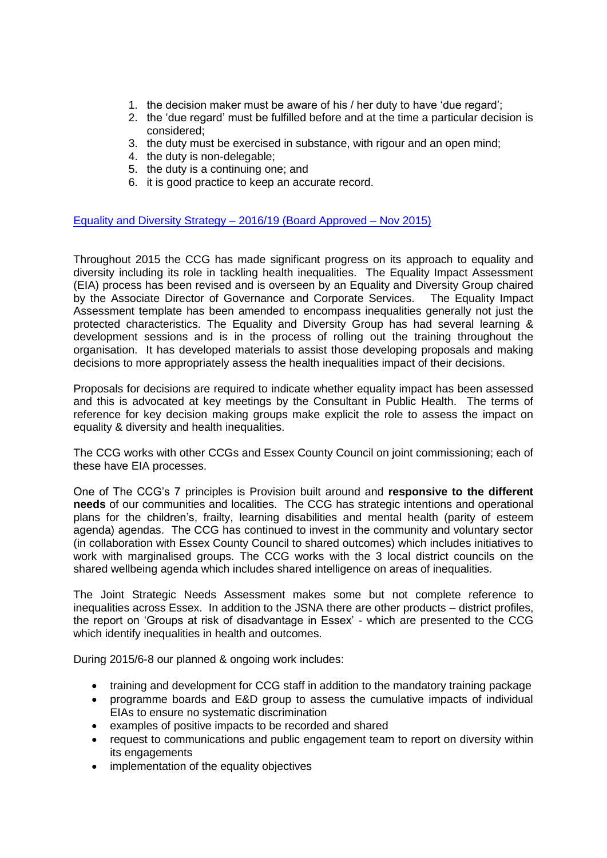- 1. the decision maker must be aware of his / her duty to have 'due regard';
- 2. the 'due regard' must be fulfilled before and at the time a particular decision is considered;
- 3. the duty must be exercised in substance, with rigour and an open mind;
- 4. the duty is non-delegable;
- 5. the duty is a continuing one; and
- 6. it is good practice to keep an accurate record.

[Equality and Diversity Strategy –](http://www.westessexccg.nhs.uk/news/docs/about-us/west-essex-ccg-equality-workforce-information-report/2230-equality-diversity-strategy/file) 2016/19 (Board Approved – Nov 2015)

Throughout 2015 the CCG has made significant progress on its approach to equality and diversity including its role in tackling health inequalities. The Equality Impact Assessment (EIA) process has been revised and is overseen by an Equality and Diversity Group chaired by the Associate Director of Governance and Corporate Services. The Equality Impact Assessment template has been amended to encompass inequalities generally not just the protected characteristics. The Equality and Diversity Group has had several learning & development sessions and is in the process of rolling out the training throughout the organisation. It has developed materials to assist those developing proposals and making decisions to more appropriately assess the health inequalities impact of their decisions.

Proposals for decisions are required to indicate whether equality impact has been assessed and this is advocated at key meetings by the Consultant in Public Health. The terms of reference for key decision making groups make explicit the role to assess the impact on equality & diversity and health inequalities.

The CCG works with other CCGs and Essex County Council on joint commissioning; each of these have EIA processes.

One of The CCG's 7 principles is Provision built around and **responsive to the different needs** of our communities and localities. The CCG has strategic intentions and operational plans for the children's, frailty, learning disabilities and mental health (parity of esteem agenda) agendas. The CCG has continued to invest in the community and voluntary sector (in collaboration with Essex County Council to shared outcomes) which includes initiatives to work with marginalised groups. The CCG works with the 3 local district councils on the shared wellbeing agenda which includes shared intelligence on areas of inequalities.

The Joint Strategic Needs Assessment makes some but not complete reference to inequalities across Essex. In addition to the JSNA there are other products – district profiles, the report on 'Groups at risk of disadvantage in Essex' - which are presented to the CCG which identify inequalities in health and outcomes.

During 2015/6-8 our planned & ongoing work includes:

- training and development for CCG staff in addition to the mandatory training package
- programme boards and E&D group to assess the cumulative impacts of individual EIAs to ensure no systematic discrimination
- examples of positive impacts to be recorded and shared
- request to communications and public engagement team to report on diversity within its engagements
- implementation of the equality objectives